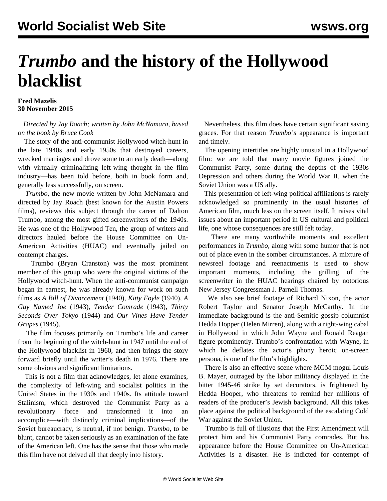## *Trumbo* **and the history of the Hollywood blacklist**

## **Fred Mazelis 30 November 2015**

## *Directed by Jay Roach; written by John McNamara, based on the book by Bruce Cook*

 The story of the anti-communist Hollywood witch-hunt in the late 1940s and early 1950s that destroyed careers, wrecked marriages and drove some to an early death—along with virtually criminalizing left-wing thought in the film industry—has been told before, both in book form and, generally less successfully, on screen.

 *Trumbo*, the new movie written by John McNamara and directed by Jay Roach (best known for the Austin Powers films), reviews this subject through the career of Dalton Trumbo, among the most gifted screenwriters of the 1940s. He was one of the Hollywood Ten, the group of writers and directors hauled before the House Committee on Un-American Activities (HUAC) and eventually jailed on contempt charges.

 Trumbo (Bryan Cranston) was the most prominent member of this group who were the original victims of the Hollywood witch-hunt. When the anti-communist campaign began in earnest, he was already known for work on such films as *A Bill of Divorcement* (1940), *Kitty Foyle* (1940), *A Guy Named Joe* (1943), *Tender Comrade* (1943), *Thirty Seconds Over Tokyo* (1944) and *Our Vines Have Tender Grapes* (1945).

 The film focuses primarily on Trumbo's life and career from the beginning of the witch-hunt in 1947 until the end of the Hollywood blacklist in 1960, and then brings the story forward briefly until the writer's death in 1976. There are some obvious and significant limitations.

 This is not a film that acknowledges, let alone examines, the complexity of left-wing and socialist politics in the United States in the 1930s and 1940s. Its attitude toward Stalinism, which destroyed the Communist Party as a revolutionary force and transformed it into an accomplice—with distinctly criminal implications—of the Soviet bureaucracy, is neutral, if not benign. *Trumbo*, to be blunt, cannot be taken seriously as an examination of the fate of the American left. One has the sense that those who made this film have not delved all that deeply into history.

 Nevertheless, this film does have certain significant saving graces. For that reason *Trumbo's* appearance is important and timely.

 The opening intertitles are highly unusual in a Hollywood film: we are told that many movie figures joined the Communist Party, some during the depths of the 1930s Depression and others during the World War II, when the Soviet Union was a US ally.

 This presentation of left-wing political affiliations is rarely acknowledged so prominently in the usual histories of American film, much less on the screen itself. It raises vital issues about an important period in US cultural and political life, one whose consequences are still felt today.

 There are many worthwhile moments and excellent performances in *Trumbo*, along with some humor that is not out of place even in the somber circumstances. A mixture of newsreel footage and reenactments is used to show important moments, including the grilling of the screenwriter in the HUAC hearings chaired by notorious New Jersey Congressman J. Parnell Thomas.

 We also see brief footage of Richard Nixon, the actor Robert Taylor and Senator Joseph McCarthy. In the immediate background is the anti-Semitic gossip columnist Hedda Hopper (Helen Mirren), along with a right-wing cabal in Hollywood in which John Wayne and Ronald Reagan figure prominently. Trumbo's confrontation with Wayne, in which he deflates the actor's phony heroic on-screen persona, is one of the film's highlights.

 There is also an effective scene where MGM mogul Louis B. Mayer, outraged by the labor militancy displayed in the bitter 1945-46 strike by set decorators, is frightened by Hedda Hooper, who threatens to remind her millions of readers of the producer's Jewish background. All this takes place against the political background of the escalating Cold War against the Soviet Union.

 Trumbo is full of illusions that the First Amendment will protect him and his Communist Party comrades. But his appearance before the House Committee on Un-American Activities is a disaster. He is indicted for contempt of